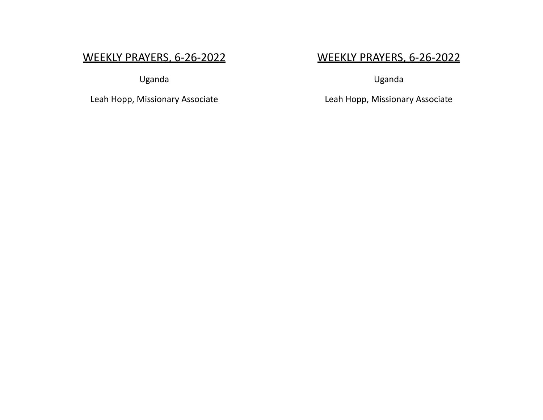# WEEKLY PRAYERS, 6-26-2022

Uganda

Leah Hopp, Missionary Associate

# WEEKLY PRAYERS, 6-26-2022

Uganda

Leah Hopp, Missionary Associate